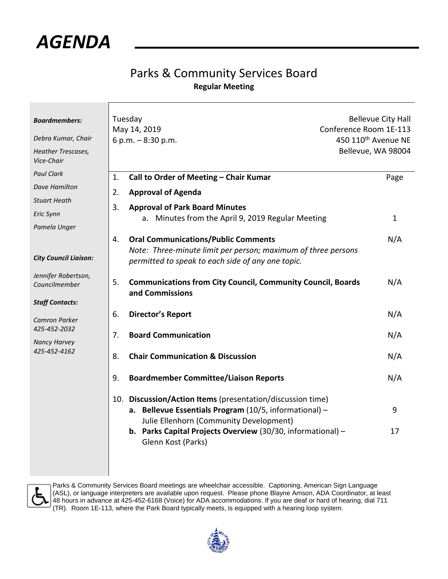

## Parks & Community Services Board **Regular Meeting**

| <b>Boardmembers:</b><br>Debra Kumar, Chair<br>Heather Trescases,<br>Vice-Chair | Tuesday<br>May 14, 2019<br>6 p.m. $-8:30$ p.m.                                                                                                                                                                                                       | <b>Bellevue City Hall</b><br>Conference Room 1E-113<br>450 110 <sup>th</sup> Avenue NE<br>Bellevue, WA 98004 |  |
|--------------------------------------------------------------------------------|------------------------------------------------------------------------------------------------------------------------------------------------------------------------------------------------------------------------------------------------------|--------------------------------------------------------------------------------------------------------------|--|
| <b>Paul Clark</b><br>Dave Hamilton<br><b>Stuart Heath</b><br>Eric Synn         | Call to Order of Meeting - Chair Kumar<br>1.<br><b>Approval of Agenda</b><br>2.<br>3.<br><b>Approval of Park Board Minutes</b>                                                                                                                       | Page                                                                                                         |  |
| Pamela Unger<br><b>City Council Liaison:</b>                                   | a. Minutes from the April 9, 2019 Regular Meeting<br><b>Oral Communications/Public Comments</b><br>4.<br>Note: Three-minute limit per person; maximum of three persons                                                                               | $\mathbf{1}$<br>N/A                                                                                          |  |
| Jennifer Robertson,<br>Councilmember<br><b>Staff Contacts:</b>                 | permitted to speak to each side of any one topic.<br>5.<br><b>Communications from City Council, Community Council, Boards</b><br>and Commissions                                                                                                     | N/A                                                                                                          |  |
| <b>Camron Parker</b><br>425-452-2032                                           | <b>Director's Report</b><br>6.<br><b>Board Communication</b><br>7.                                                                                                                                                                                   | N/A<br>N/A                                                                                                   |  |
| <b>Nancy Harvey</b><br>425-452-4162                                            | <b>Chair Communication &amp; Discussion</b><br>8.<br><b>Boardmember Committee/Liaison Reports</b><br>9.                                                                                                                                              | N/A<br>N/A                                                                                                   |  |
|                                                                                | 10. Discussion/Action Items (presentation/discussion time)<br>a. Bellevue Essentials Program (10/5, informational) -<br>Julie Ellenhorn (Community Development)<br>b. Parks Capital Projects Overview (30/30, informational) -<br>Glenn Kost (Parks) | 9<br>17                                                                                                      |  |



Parks & Community Services Board meetings are wheelchair accessible. Captioning, American Sign Language (ASL), or language interpreters are available upon request. Please phone Blayne Amson, ADA Coordinator, at least 48 hours in advance at 425-452-6168 (Voice) for ADA accommodations. If you are deaf or hard of hearing, dial 711 (TR). Room 1E-113, where the Park Board typically meets, is equipped with a hearing loop system.